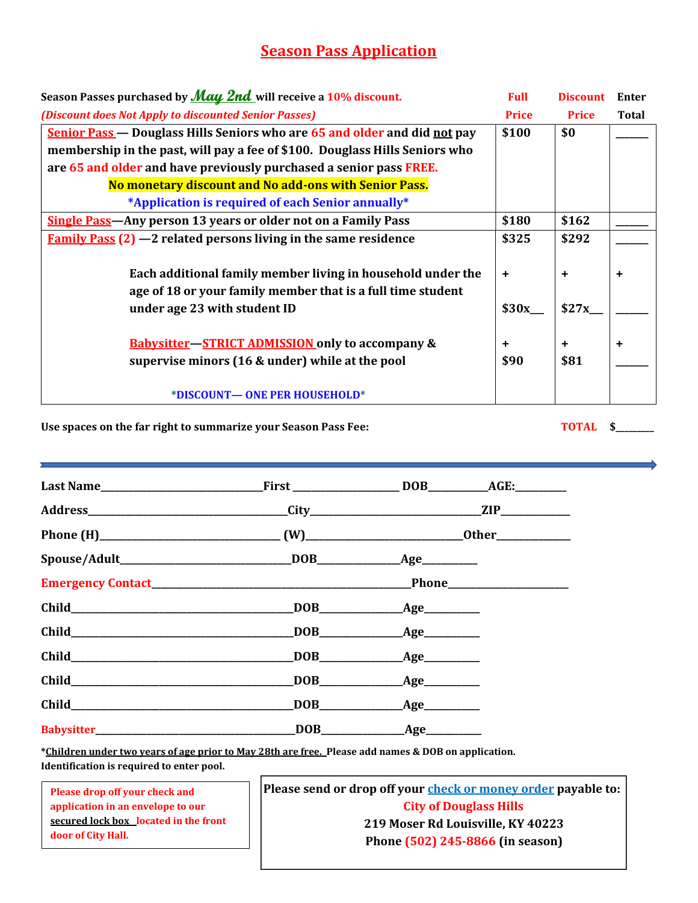# Season Pass Application

| Season Passes purchased by <i>May 2nd</i> will receive a 10% discount.      | <b>Full</b>  | <b>Discount</b> | Enter        |
|-----------------------------------------------------------------------------|--------------|-----------------|--------------|
| (Discount does Not Apply to discounted Senior Passes)                       | <b>Price</b> | <b>Price</b>    | <b>Total</b> |
| Senior Pass — Douglass Hills Seniors who are 65 and older and did not pay   | \$100        | \$0             |              |
| membership in the past, will pay a fee of \$100. Douglass Hills Seniors who |              |                 |              |
| are 65 and older and have previously purchased a senior pass FREE.          |              |                 |              |
| No monetary discount and No add-ons with Senior Pass.                       |              |                 |              |
| *Application is required of each Senior annually*                           |              |                 |              |
| <b>Single Pass-Any person 13 years or older not on a Family Pass</b>        | \$180        | \$162           |              |
| <b>Family Pass (2)</b> $-2$ related persons living in the same residence    | \$325        | \$292           |              |
|                                                                             |              |                 |              |
| Each additional family member living in household under the                 | $\ddot{}$    | $\ddot{}$       | +            |
| age of 18 or your family member that is a full time student                 |              |                 |              |
| under age 23 with student ID                                                | \$30x        | \$27x           |              |
|                                                                             |              |                 |              |
| <b>Babysitter-STRICT ADMISSION only to accompany &amp;</b>                  | ٠            | $\ddot{}$       | ٠            |
| supervise minors (16 & under) while at the pool                             | \$90         | \$81            |              |
|                                                                             |              |                 |              |
| *DISCOUNT- ONE PER HOUSEHOLD*                                               |              |                 |              |

## Use spaces on the far right to summarize your Season Pass Fee: TOTAL \$

| Child Child                     |  |
|---------------------------------|--|
| <b>Babysitter Exercise 2020</b> |  |

\*Children under two years of age prior to May 28th are free. Please add names & DOB on application. Identification is required to enter pool.

Please drop off your check and application in an envelope to our secured lock box located in the front door of City Hall.

Please send or drop off your **check or money order** payable to: City of Douglass Hills 219 Moser Rd Louisville, KY 40223 Phone (502) 245-8866 (in season)